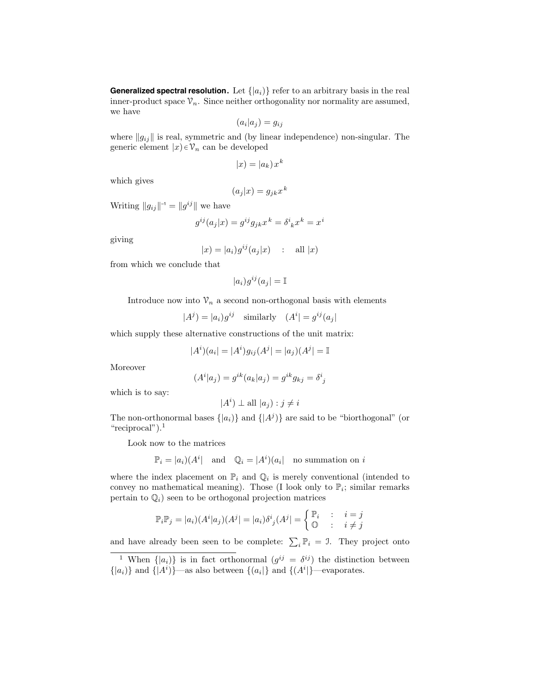**Generalized spectral resolution.** Let  $\{ |a_i \rangle \}$  refer to an arbitrary basis in the real inner-product space  $\mathcal{V}_n$ . Since neither orthogonality nor normality are assumed, we have

$$
(a_i|a_j) = g_{ij}
$$

where  $||g_{ij}||$  is real, symmetric and (by linear independence) non-singular. The generic element  $|x\rangle \in \mathcal{V}_n$  can be developed

$$
|x| = |a_k| x^k
$$

which gives

$$
(a_j|x) = g_{jk}x^k
$$

Writing  $||g_{ij}||^{-1} = ||g^{ij}||$  we have

$$
g^{ij}(a_j|x) = g^{ij}g_{jk}x^k = \delta^i{}_k x^k = x^i
$$

giving

$$
|x| = |a_i|g^{ij}(a_j|x) \quad : \quad \text{all } |x)
$$

from which we conclude that

$$
|a_i)g^{ij}(a_j| = \mathbb{I}
$$

Introduce now into  $\mathcal{V}_n$  a second non-orthogonal basis with elements

$$
|A^j| = |a_i|g^{ij} \quad \text{similarly} \quad (A^i| = g^{ij}(a_j)
$$

which supply these alternative constructions of the unit matrix:

$$
|A^{i})(a_{i}| = |A^{i})g_{ij}(A^{j}| = |a_{j})(A^{j}| = \mathbb{I}
$$

Moreover

$$
(Ai|aj) = gik(ak|aj) = gikgkj = \deltaij
$$

which is to say:

$$
|A^i) \perp \text{all } |a_j| : j \neq i
$$

The non-orthonormal bases  $\{|a_i\rangle\}$  and  $\{|A^j\rangle\}$  are said to be "biorthogonal" (or "reciprocal").<sup>1</sup>

Look now to the matrices

$$
\mathbb{P}_i = |a_i|(A^i) \quad \text{and} \quad \mathbb{Q}_i = |A^i|(a_i) \quad \text{no summation on } i
$$

where the index placement on  $\mathbb{P}_i$  and  $\mathbb{Q}_i$  is merely conventional (intended to convey no mathematical meaning). Those (I look only to  $\mathbb{P}_i$ ; similar remarks pertain to  $\mathbb{Q}_i$ ) seen to be orthogonal projection matrices

$$
\mathbb{P}_i \mathbb{P}_j = |a_i|(A^i|a_j)(A^j| = |a_i|\delta^i_j(A^j| = \begin{cases} \mathbb{P}_i & \colon & i = j \\ \mathbb{O} & \colon & i \neq j \end{cases}
$$

and have already been seen to be complete:  $\sum_i \mathbb{P}_i = 1$ . They project onto

<sup>&</sup>lt;sup>1</sup> When  $\{|a_i\rangle\}$  is in fact orthonormal  $(g^{ij} = \delta^{ij})$  the distinction between  $\{|a_i\rangle\}$  and  $\{|A^i\rangle\}$ —as also between  $\{(a_i|\}$  and  $\{(A^i|\}$ —evaporates.